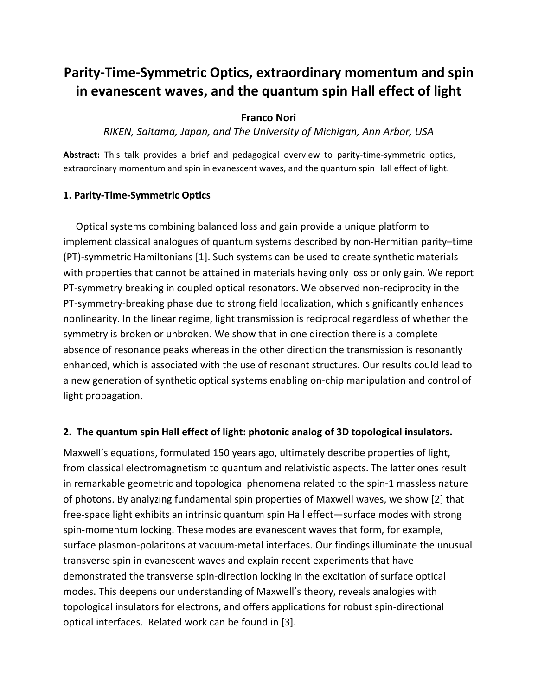# **Parity-Time-Symmetric Optics, extraordinary momentum and spin in evanescent waves, and the quantum spin Hall effect of light**

### **Franco Nori**

*RIKEN, Saitama, Japan, and The University of Michigan, Ann Arbor, USA* 

**Abstract:** This talk provides a brief and pedagogical overview to parity-time-symmetric optics, extraordinary momentum and spin in evanescent waves, and the quantum spin Hall effect of light.

#### **1. Parity-Time-Symmetric Optics**

Optical systems combining balanced loss and gain provide a unique platform to implement classical analogues of quantum systems described by non-Hermitian parity–time (PT)-symmetric Hamiltonians [1]. Such systems can be used to create synthetic materials with properties that cannot be attained in materials having only loss or only gain. We report PT-symmetry breaking in coupled optical resonators. We observed non-reciprocity in the PT-symmetry-breaking phase due to strong field localization, which significantly enhances nonlinearity. In the linear regime, light transmission is reciprocal regardless of whether the symmetry is broken or unbroken. We show that in one direction there is a complete absence of resonance peaks whereas in the other direction the transmission is resonantly enhanced, which is associated with the use of resonant structures. Our results could lead to a new generation of synthetic optical systems enabling on-chip manipulation and control of light propagation.

#### **2. The quantum spin Hall effect of light: photonic analog of 3D topological insulators.**

Maxwell's equations, formulated 150 years ago, ultimately describe properties of light, from classical electromagnetism to quantum and relativistic aspects. The latter ones result in remarkable geometric and topological phenomena related to the spin-1 massless nature of photons. By analyzing fundamental spin properties of Maxwell waves, we show [2] that free-space light exhibits an intrinsic quantum spin Hall effect—surface modes with strong spin-momentum locking. These modes are evanescent waves that form, for example, surface plasmon-polaritons at vacuum-metal interfaces. Our findings illuminate the unusual transverse spin in evanescent waves and explain recent experiments that have demonstrated the transverse spin-direction locking in the excitation of surface optical modes. This deepens our understanding of Maxwell's theory, reveals analogies with topological insulators for electrons, and offers applications for robust spin-directional optical interfaces. Related work can be found in [3].